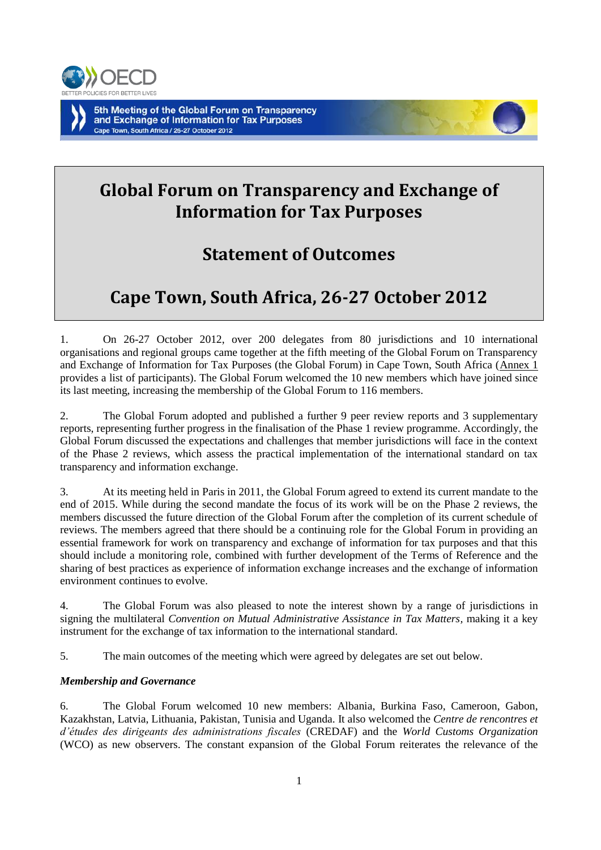

# **Global Forum on Transparency and Exchange of Information for Tax Purposes**

# **Statement of Outcomes**

# **Cape Town, South Africa, 26-27 October 2012**

1. On 26-27 October 2012, over 200 delegates from 80 jurisdictions and 10 international organisations and regional groups came together at the fifth meeting of the Global Forum on Transparency and Exchange of Information for Tax Purposes (the Global Forum) in Cape Town, South Africa (Annex 1 provides a list of participants). The Global Forum welcomed the 10 new members which have joined since its last meeting, increasing the membership of the Global Forum to 116 members.

2. The Global Forum adopted and published a further 9 peer review reports and 3 supplementary reports, representing further progress in the finalisation of the Phase 1 review programme. Accordingly, the Global Forum discussed the expectations and challenges that member jurisdictions will face in the context of the Phase 2 reviews, which assess the practical implementation of the international standard on tax transparency and information exchange.

3. At its meeting held in Paris in 2011, the Global Forum agreed to extend its current mandate to the end of 2015. While during the second mandate the focus of its work will be on the Phase 2 reviews, the members discussed the future direction of the Global Forum after the completion of its current schedule of reviews. The members agreed that there should be a continuing role for the Global Forum in providing an essential framework for work on transparency and exchange of information for tax purposes and that this should include a monitoring role, combined with further development of the Terms of Reference and the sharing of best practices as experience of information exchange increases and the exchange of information environment continues to evolve.

4. The Global Forum was also pleased to note the interest shown by a range of jurisdictions in signing the multilateral *Convention on Mutual Administrative Assistance in Tax Matters,* making it a key instrument for the exchange of tax information to the international standard.

5. The main outcomes of the meeting which were agreed by delegates are set out below.

# *Membership and Governance*

6. The Global Forum welcomed 10 new members: Albania, Burkina Faso, Cameroon, Gabon, Kazakhstan, Latvia, Lithuania, Pakistan, Tunisia and Uganda. It also welcomed the *Centre de rencontres et d'études des dirigeants des administrations fiscales* (CREDAF) and the *World Customs Organization* (WCO) as new observers. The constant expansion of the Global Forum reiterates the relevance of the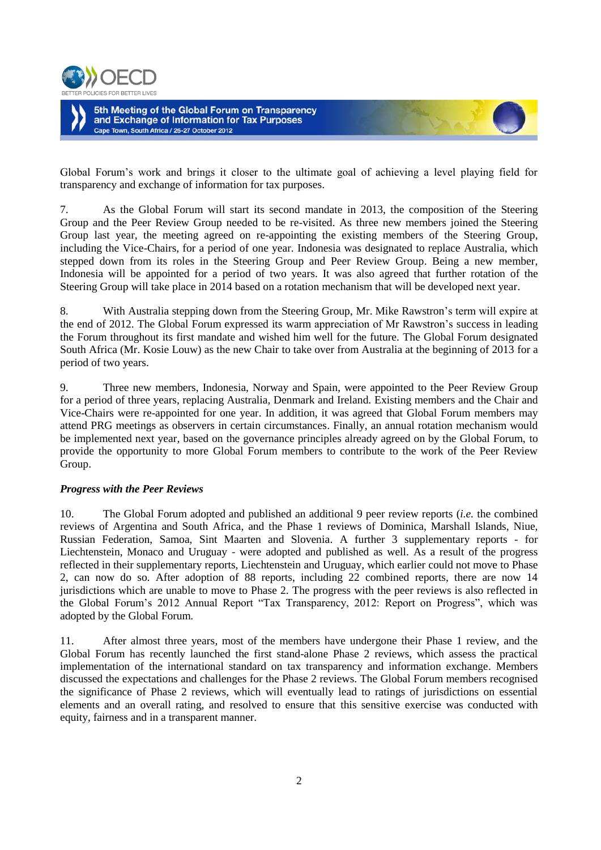



Global Forum's work and brings it closer to the ultimate goal of achieving a level playing field for transparency and exchange of information for tax purposes.

7. As the Global Forum will start its second mandate in 2013, the composition of the Steering Group and the Peer Review Group needed to be re-visited. As three new members joined the Steering Group last year, the meeting agreed on re-appointing the existing members of the Steering Group, including the Vice-Chairs, for a period of one year. Indonesia was designated to replace Australia, which stepped down from its roles in the Steering Group and Peer Review Group. Being a new member, Indonesia will be appointed for a period of two years. It was also agreed that further rotation of the Steering Group will take place in 2014 based on a rotation mechanism that will be developed next year.

8. With Australia stepping down from the Steering Group, Mr. Mike Rawstron's term will expire at the end of 2012. The Global Forum expressed its warm appreciation of Mr Rawstron's success in leading the Forum throughout its first mandate and wished him well for the future. The Global Forum designated South Africa (Mr. Kosie Louw) as the new Chair to take over from Australia at the beginning of 2013 for a period of two years.

9. Three new members, Indonesia, Norway and Spain, were appointed to the Peer Review Group for a period of three years, replacing Australia, Denmark and Ireland. Existing members and the Chair and Vice-Chairs were re-appointed for one year. In addition, it was agreed that Global Forum members may attend PRG meetings as observers in certain circumstances. Finally, an annual rotation mechanism would be implemented next year, based on the governance principles already agreed on by the Global Forum, to provide the opportunity to more Global Forum members to contribute to the work of the Peer Review Group.

### *Progress with the Peer Reviews*

10. The Global Forum adopted and published an additional 9 peer review reports (*i.e.* the combined reviews of Argentina and South Africa, and the Phase 1 reviews of Dominica, Marshall Islands, Niue, Russian Federation, Samoa, Sint Maarten and Slovenia. A further 3 supplementary reports - for Liechtenstein, Monaco and Uruguay - were adopted and published as well. As a result of the progress reflected in their supplementary reports, Liechtenstein and Uruguay, which earlier could not move to Phase 2, can now do so. After adoption of 88 reports, including 22 combined reports, there are now 14 jurisdictions which are unable to move to Phase 2. The progress with the peer reviews is also reflected in the Global Forum's 2012 Annual Report "Tax Transparency, 2012: Report on Progress", which was adopted by the Global Forum.

11. After almost three years, most of the members have undergone their Phase 1 review, and the Global Forum has recently launched the first stand-alone Phase 2 reviews, which assess the practical implementation of the international standard on tax transparency and information exchange. Members discussed the expectations and challenges for the Phase 2 reviews. The Global Forum members recognised the significance of Phase 2 reviews, which will eventually lead to ratings of jurisdictions on essential elements and an overall rating, and resolved to ensure that this sensitive exercise was conducted with equity, fairness and in a transparent manner.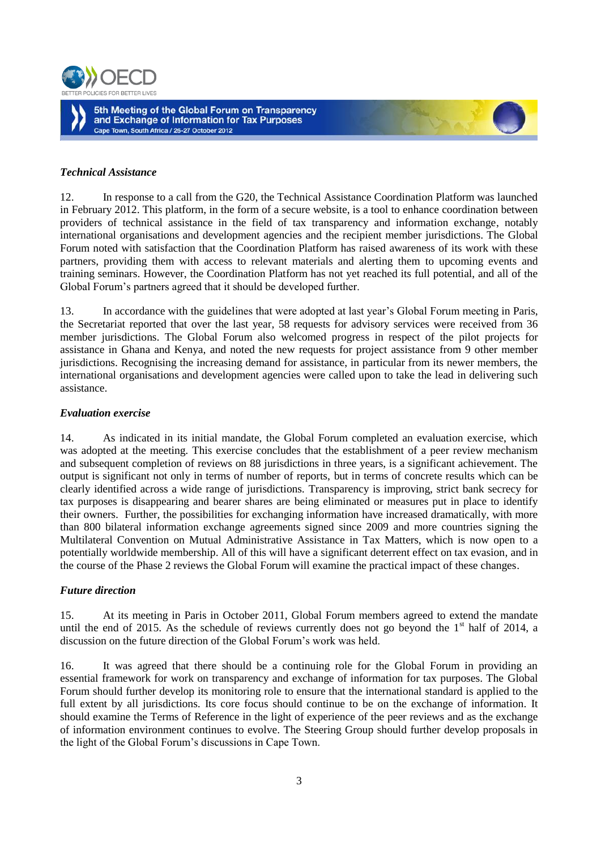



#### *Technical Assistance*

12. In response to a call from the G20, the Technical Assistance Coordination Platform was launched in February 2012. This platform, in the form of a secure website, is a tool to enhance coordination between providers of technical assistance in the field of tax transparency and information exchange, notably international organisations and development agencies and the recipient member jurisdictions. The Global Forum noted with satisfaction that the Coordination Platform has raised awareness of its work with these partners, providing them with access to relevant materials and alerting them to upcoming events and training seminars. However, the Coordination Platform has not yet reached its full potential, and all of the Global Forum's partners agreed that it should be developed further.

13. In accordance with the guidelines that were adopted at last year's Global Forum meeting in Paris, the Secretariat reported that over the last year, 58 requests for advisory services were received from 36 member jurisdictions. The Global Forum also welcomed progress in respect of the pilot projects for assistance in Ghana and Kenya, and noted the new requests for project assistance from 9 other member jurisdictions. Recognising the increasing demand for assistance, in particular from its newer members, the international organisations and development agencies were called upon to take the lead in delivering such assistance.

#### *Evaluation exercise*

14. As indicated in its initial mandate, the Global Forum completed an evaluation exercise, which was adopted at the meeting. This exercise concludes that the establishment of a peer review mechanism and subsequent completion of reviews on 88 jurisdictions in three years, is a significant achievement. The output is significant not only in terms of number of reports, but in terms of concrete results which can be clearly identified across a wide range of jurisdictions. Transparency is improving, strict bank secrecy for tax purposes is disappearing and bearer shares are being eliminated or measures put in place to identify their owners. Further, the possibilities for exchanging information have increased dramatically, with more than 800 bilateral information exchange agreements signed since 2009 and more countries signing the Multilateral Convention on Mutual Administrative Assistance in Tax Matters, which is now open to a potentially worldwide membership. All of this will have a significant deterrent effect on tax evasion, and in the course of the Phase 2 reviews the Global Forum will examine the practical impact of these changes.

### *Future direction*

15. At its meeting in Paris in October 2011, Global Forum members agreed to extend the mandate until the end of 2015. As the schedule of reviews currently does not go beyond the  $1<sup>st</sup>$  half of 2014, a discussion on the future direction of the Global Forum's work was held.

16. It was agreed that there should be a continuing role for the Global Forum in providing an essential framework for work on transparency and exchange of information for tax purposes. The Global Forum should further develop its monitoring role to ensure that the international standard is applied to the full extent by all jurisdictions. Its core focus should continue to be on the exchange of information. It should examine the Terms of Reference in the light of experience of the peer reviews and as the exchange of information environment continues to evolve. The Steering Group should further develop proposals in the light of the Global Forum's discussions in Cape Town.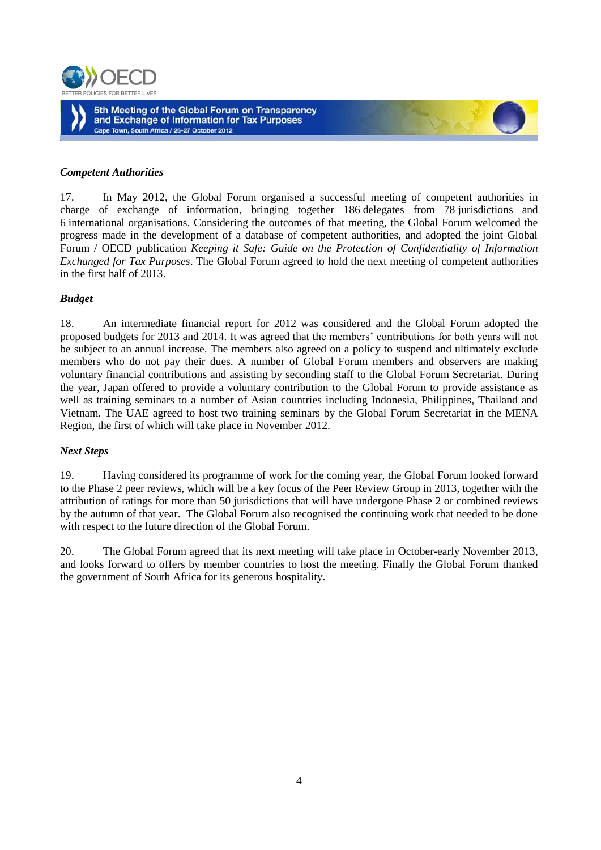



#### *Competent Authorities*

17. In May 2012, the Global Forum organised a successful meeting of competent authorities in charge of exchange of information, bringing together 186 delegates from 78 jurisdictions and 6 international organisations. Considering the outcomes of that meeting, the Global Forum welcomed the progress made in the development of a database of competent authorities, and adopted the joint Global Forum / OECD publication *Keeping it Safe: Guide on the Protection of Confidentiality of Information Exchanged for Tax Purposes*. The Global Forum agreed to hold the next meeting of competent authorities in the first half of 2013.

### *Budget*

18. An intermediate financial report for 2012 was considered and the Global Forum adopted the proposed budgets for 2013 and 2014. It was agreed that the members' contributions for both years will not be subject to an annual increase. The members also agreed on a policy to suspend and ultimately exclude members who do not pay their dues. A number of Global Forum members and observers are making voluntary financial contributions and assisting by seconding staff to the Global Forum Secretariat. During the year, Japan offered to provide a voluntary contribution to the Global Forum to provide assistance as well as training seminars to a number of Asian countries including Indonesia, Philippines, Thailand and Vietnam. The UAE agreed to host two training seminars by the Global Forum Secretariat in the MENA Region, the first of which will take place in November 2012.

#### *Next Steps*

19. Having considered its programme of work for the coming year, the Global Forum looked forward to the Phase 2 peer reviews, which will be a key focus of the Peer Review Group in 2013, together with the attribution of ratings for more than 50 jurisdictions that will have undergone Phase 2 or combined reviews by the autumn of that year. The Global Forum also recognised the continuing work that needed to be done with respect to the future direction of the Global Forum.

20. The Global Forum agreed that its next meeting will take place in October-early November 2013, and looks forward to offers by member countries to host the meeting. Finally the Global Forum thanked the government of South Africa for its generous hospitality.